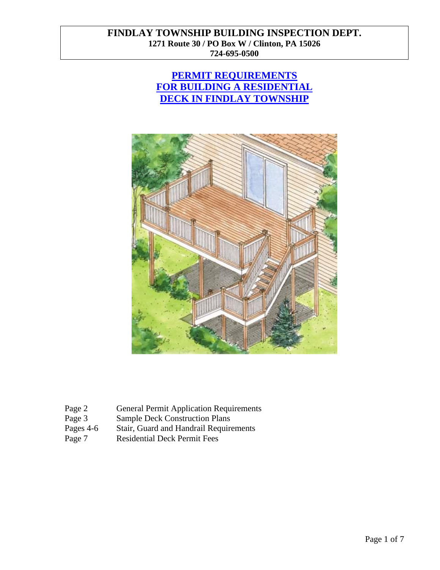# **PERMIT REQUIREMENTS FOR BUILDING A RESIDENTIAL DECK IN FINDLAY TOWNSHIP**



| Page 2<br><b>General Permit Application Requirements</b> |
|----------------------------------------------------------|
|----------------------------------------------------------|

- Page 3 Sample Deck Construction Plans<br>Pages 4-6 Stair, Guard and Handrail Require
- Pages 4-6 Stair, Guard and Handrail Requirements<br>Page 7 Residential Deck Permit Fees
- Residential Deck Permit Fees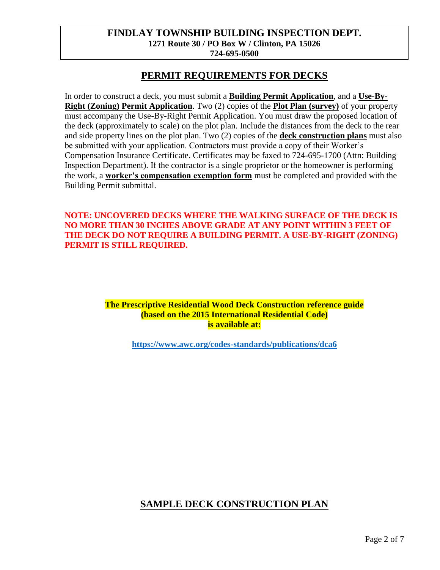### **PERMIT REQUIREMENTS FOR DECKS**

In order to construct a deck, you must submit a **Building Permit Application**, and a **Use-By-Right (Zoning) Permit Application**. Two (2) copies of the **Plot Plan (survey)** of your property must accompany the Use-By-Right Permit Application. You must draw the proposed location of the deck (approximately to scale) on the plot plan. Include the distances from the deck to the rear and side property lines on the plot plan. Two (2) copies of the **deck construction plans** must also be submitted with your application. Contractors must provide a copy of their Worker's Compensation Insurance Certificate. Certificates may be faxed to 724-695-1700 (Attn: Building Inspection Department). If the contractor is a single proprietor or the homeowner is performing the work, a **worker's compensation exemption form** must be completed and provided with the Building Permit submittal.

#### **NOTE: UNCOVERED DECKS WHERE THE WALKING SURFACE OF THE DECK IS NO MORE THAN 30 INCHES ABOVE GRADE AT ANY POINT WITHIN 3 FEET OF THE DECK DO NOT REQUIRE A BUILDING PERMIT. A USE-BY-RIGHT (ZONING) PERMIT IS STILL REQUIRED.**

#### **The Prescriptive Residential Wood Deck Construction reference guide (based on the 2015 International Residential Code) is available at:**

**<https://www.awc.org/codes-standards/publications/dca6>**

# **SAMPLE DECK CONSTRUCTION PLAN**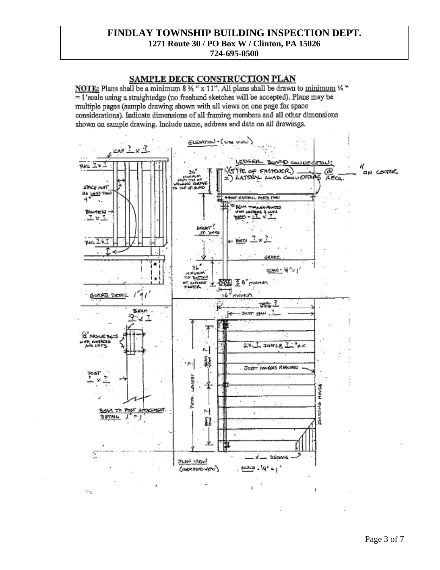# SAMPLE DECK CONSTRUCTION PLAN

NOTE: Plans shall be a minimum  $8\frac{1}{2}$  " x 11". All plans shall be drawn to minimum  $\frac{1}{2}$  " = 1'scale using a straightedge (no freehand sketches will be accepted). Plans may be multiple pages (sample drawing shown with all views on one page for space considerations). Indicate dimensions of all framing members and all other dimensions shown on sample drawing. Include name, address and date on all drawings.



13.

Page 3 of 7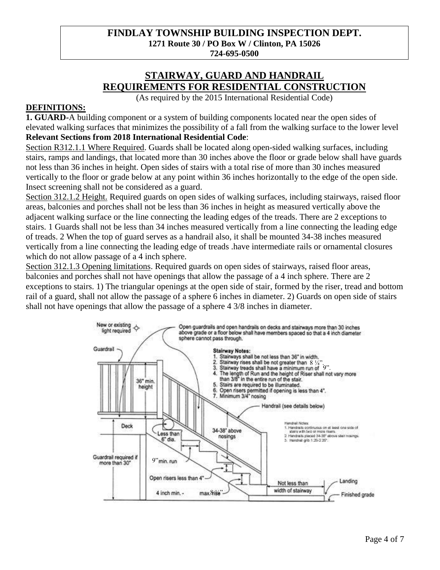# **STAIRWAY, GUARD AND HANDRAIL REQUIREMENTS FOR RESIDENTIAL CONSTRUCTION**

(As required by the 2015 International Residential Code)

#### **DEFINITIONS:**

**1. GUARD-**A building component or a system of building components located near the open sides of elevated walking surfaces that minimizes the possibility of a fall from the walking surface to the lower level **Relevant Sections from 2018 International Residential Code**:

Section R312.1.1 Where Required. Guards shall be located along open-sided walking surfaces, including stairs, ramps and landings, that located more than 30 inches above the floor or grade below shall have guards not less than 36 inches in height. Open sides of stairs with a total rise of more than 30 inches measured vertically to the floor or grade below at any point within 36 inches horizontally to the edge of the open side. Insect screening shall not be considered as a guard.

Section 312.1.2 Height. Required guards on open sides of walking surfaces, including stairways, raised floor areas, balconies and porches shall not be less than 36 inches in height as measured vertically above the adjacent walking surface or the line connecting the leading edges of the treads. There are 2 exceptions to stairs. 1 Guards shall not be less than 34 inches measured vertically from a line connecting the leading edge of treads. 2 When the top of guard serves as a handrail also, it shall be mounted 34-38 inches measured vertically from a line connecting the leading edge of treads .have intermediate rails or ornamental closures which do not allow passage of a 4 inch sphere.

Section 312.1.3 Opening limitations. Required guards on open sides of stairways, raised floor areas, balconies and porches shall not have openings that allow the passage of a 4 inch sphere. There are 2 exceptions to stairs. 1) The triangular openings at the open side of stair, formed by the riser, tread and bottom rail of a guard, shall not allow the passage of a sphere 6 inches in diameter. 2) Guards on open side of stairs shall not have openings that allow the passage of a sphere 4 3/8 inches in diameter.

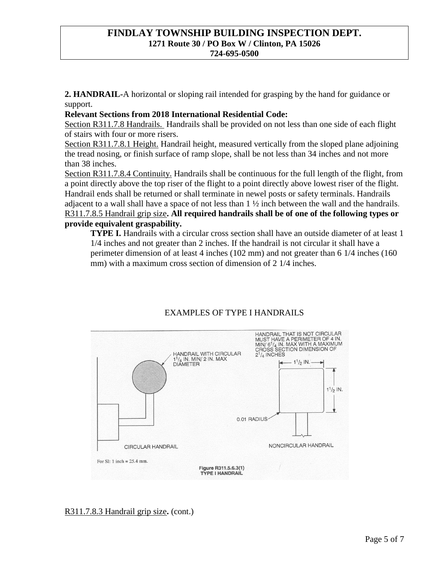**2. HANDRAIL-**A horizontal or sloping rail intended for grasping by the hand for guidance or support.

#### **Relevant Sections from 2018 International Residential Code:**

Section R311.7.8 Handrails. Handrails shall be provided on not less than one side of each flight of stairs with four or more risers.

Section R311.7.8.1 Height. Handrail height, measured vertically from the sloped plane adjoining the tread nosing, or finish surface of ramp slope, shall be not less than 34 inches and not more than 38 inches.

Section R311.7.8.4 Continuity. Handrails shall be continuous for the full length of the flight, from a point directly above the top riser of the flight to a point directly above lowest riser of the flight. Handrail ends shall be returned or shall terminate in newel posts or safety terminals. Handrails adjacent to a wall shall have a space of not less than 1 ½ inch between the wall and the handrails. R311.7.8.5 Handrail grip size**. All required handrails shall be of one of the following types or provide equivalent graspability.**

**TYPE I.** Handrails with a circular cross section shall have an outside diameter of at least 1 1/4 inches and not greater than 2 inches. If the handrail is not circular it shall have a perimeter dimension of at least 4 inches (102 mm) and not greater than 6 1/4 inches (160 mm) with a maximum cross section of dimension of 2 1/4 inches.



# EXAMPLES OF TYPE I HANDRAILS

R311.7.8.3 Handrail grip size**.** (cont.)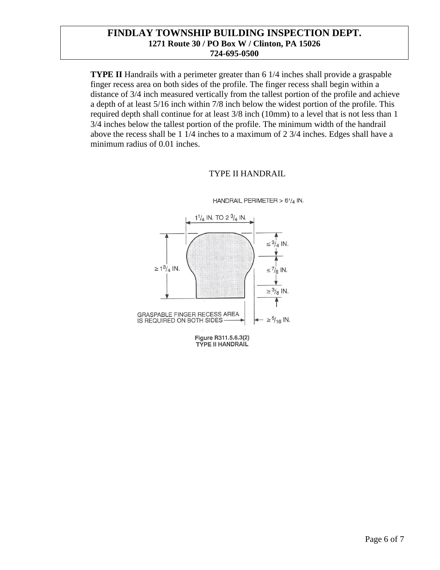**TYPE II** Handrails with a perimeter greater than 6 1/4 inches shall provide a graspable finger recess area on both sides of the profile. The finger recess shall begin within a distance of 3/4 inch measured vertically from the tallest portion of the profile and achieve a depth of at least 5/16 inch within 7/8 inch below the widest portion of the profile. This required depth shall continue for at least 3/8 inch (10mm) to a level that is not less than 1 3/4 inches below the tallest portion of the profile. The minimum width of the handrail above the recess shall be 1 1/4 inches to a maximum of 2 3/4 inches. Edges shall have a minimum radius of 0.01 inches.

#### TYPE II HANDRAIL



HANDRAIL PERIMETER > 61/4 IN.